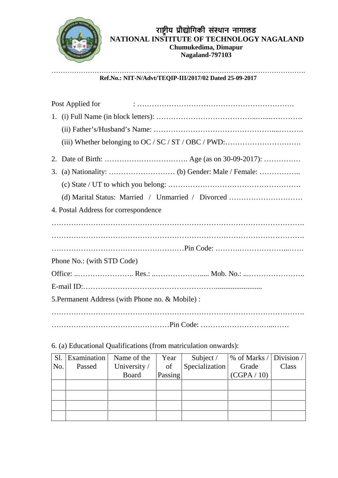

## …………………………………………………………………………………………………. **Ref.No.: NIT-N/Advt/TEQIP-III/2017/02 Dated 25-09-2017**

| Post Applied for                                   |
|----------------------------------------------------|
|                                                    |
|                                                    |
|                                                    |
|                                                    |
|                                                    |
|                                                    |
| (d) Marital Status: Married / Unmarried / Divorced |
| 4. Postal Address for correspondence               |
|                                                    |
|                                                    |
|                                                    |
| Phone No.: (with STD Code)                         |
|                                                    |
|                                                    |
| 5. Permanent Address (with Phone no. & Mobile):    |
|                                                    |
|                                                    |

6. (a) Educational Qualifications (from matriculation onwards):

| Sl. | Examination | Name of the  | Year    | Subject /      | % of Marks / Division / |       |
|-----|-------------|--------------|---------|----------------|-------------------------|-------|
| No. | Passed      | University / | of      | Specialization | Grade                   | Class |
|     |             | Board        | Passing |                | (CGPA / 10)             |       |
|     |             |              |         |                |                         |       |
|     |             |              |         |                |                         |       |
|     |             |              |         |                |                         |       |
|     |             |              |         |                |                         |       |